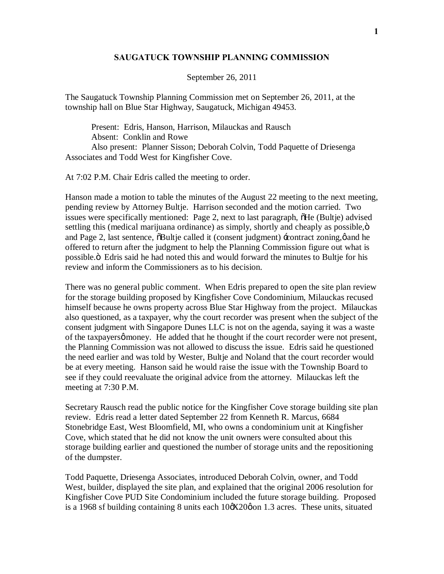## **SAUGATUCK TOWNSHIP PLANNING COMMISSION**

## September 26, 2011

The Saugatuck Township Planning Commission met on September 26, 2011, at the township hall on Blue Star Highway, Saugatuck, Michigan 49453.

Present: Edris, Hanson, Harrison, Milauckas and Rausch Absent: Conklin and Rowe Also present: Planner Sisson; Deborah Colvin, Todd Paquette of Driesenga Associates and Todd West for Kingfisher Cove.

At 7:02 P.M. Chair Edris called the meeting to order.

Hanson made a motion to table the minutes of the August 22 meeting to the next meeting, pending review by Attorney Bultje. Harrison seconded and the motion carried. Two issues were specifically mentioned: Page 2, next to last paragraph,  $\delta$ He (Bultje) advised settling this (medical marijuana ordinance) as simply, shortly and cheaply as possible,  $\ddot{o}$ and Page 2, last sentence,  $\delta$ Bultje called it (consent judgment)  $\pm$ contract zoning, $\phi$  and he offered to return after the judgment to help the Planning Commission figure out what is possible." Edris said he had noted this and would forward the minutes to Bultje for his review and inform the Commissioners as to his decision.

There was no general public comment. When Edris prepared to open the site plan review for the storage building proposed by Kingfisher Cove Condominium, Milauckas recused himself because he owns property across Blue Star Highway from the project. Milauckas also questioned, as a taxpayer, why the court recorder was present when the subject of the consent judgment with Singapore Dunes LLC is not on the agenda, saying it was a waste of the taxpayers of money. He added that he thought if the court recorder were not present, the Planning Commission was not allowed to discuss the issue. Edris said he questioned the need earlier and was told by Wester, Bultje and Noland that the court recorder would be at every meeting. Hanson said he would raise the issue with the Township Board to see if they could reevaluate the original advice from the attorney. Milauckas left the meeting at 7:30 P.M.

Secretary Rausch read the public notice for the Kingfisher Cove storage building site plan review. Edris read a letter dated September 22 from Kenneth R. Marcus, 6684 Stonebridge East, West Bloomfield, MI, who owns a condominium unit at Kingfisher Cove, which stated that he did not know the unit owners were consulted about this storage building earlier and questioned the number of storage units and the repositioning of the dumpster.

Todd Paquette, Driesenga Associates, introduced Deborah Colvin, owner, and Todd West, builder, displayed the site plan, and explained that the original 2006 resolution for Kingfisher Cove PUD Site Condominium included the future storage building. Proposed is a 1968 sf building containing 8 units each  $10\alpha X20\varphi$  on 1.3 acres. These units, situated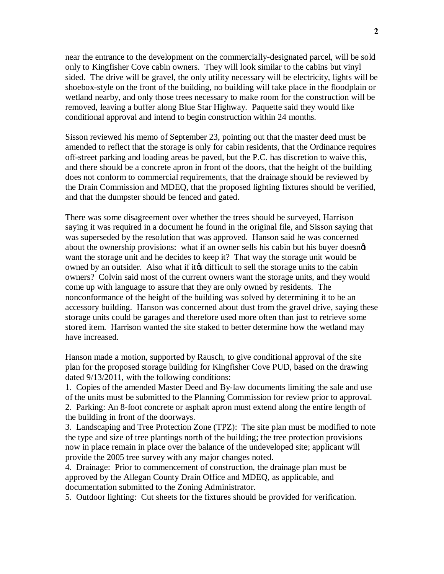near the entrance to the development on the commercially-designated parcel, will be sold only to Kingfisher Cove cabin owners. They will look similar to the cabins but vinyl sided. The drive will be gravel, the only utility necessary will be electricity, lights will be shoebox-style on the front of the building, no building will take place in the floodplain or wetland nearby, and only those trees necessary to make room for the construction will be removed, leaving a buffer along Blue Star Highway. Paquette said they would like conditional approval and intend to begin construction within 24 months.

Sisson reviewed his memo of September 23, pointing out that the master deed must be amended to reflect that the storage is only for cabin residents, that the Ordinance requires off-street parking and loading areas be paved, but the P.C. has discretion to waive this, and there should be a concrete apron in front of the doors, that the height of the building does not conform to commercial requirements, that the drainage should be reviewed by the Drain Commission and MDEQ, that the proposed lighting fixtures should be verified, and that the dumpster should be fenced and gated.

There was some disagreement over whether the trees should be surveyed, Harrison saying it was required in a document he found in the original file, and Sisson saying that was superseded by the resolution that was approved. Hanson said he was concerned about the ownership provisions: what if an owner sells his cabin but his buyer doesngt want the storage unit and he decides to keep it? That way the storage unit would be owned by an outsider. Also what if its difficult to sell the storage units to the cabin owners? Colvin said most of the current owners want the storage units, and they would come up with language to assure that they are only owned by residents. The nonconformance of the height of the building was solved by determining it to be an accessory building. Hanson was concerned about dust from the gravel drive, saying these storage units could be garages and therefore used more often than just to retrieve some stored item. Harrison wanted the site staked to better determine how the wetland may have increased.

Hanson made a motion, supported by Rausch, to give conditional approval of the site plan for the proposed storage building for Kingfisher Cove PUD, based on the drawing dated 9/13/2011, with the following conditions:

1. Copies of the amended Master Deed and By-law documents limiting the sale and use of the units must be submitted to the Planning Commission for review prior to approval. 2. Parking: An 8-foot concrete or asphalt apron must extend along the entire length of the building in front of the doorways.

3. Landscaping and Tree Protection Zone (TPZ): The site plan must be modified to note the type and size of tree plantings north of the building; the tree protection provisions now in place remain in place over the balance of the undeveloped site; applicant will provide the 2005 tree survey with any major changes noted.

4. Drainage: Prior to commencement of construction, the drainage plan must be approved by the Allegan County Drain Office and MDEQ, as applicable, and documentation submitted to the Zoning Administrator.

5. Outdoor lighting: Cut sheets for the fixtures should be provided for verification.